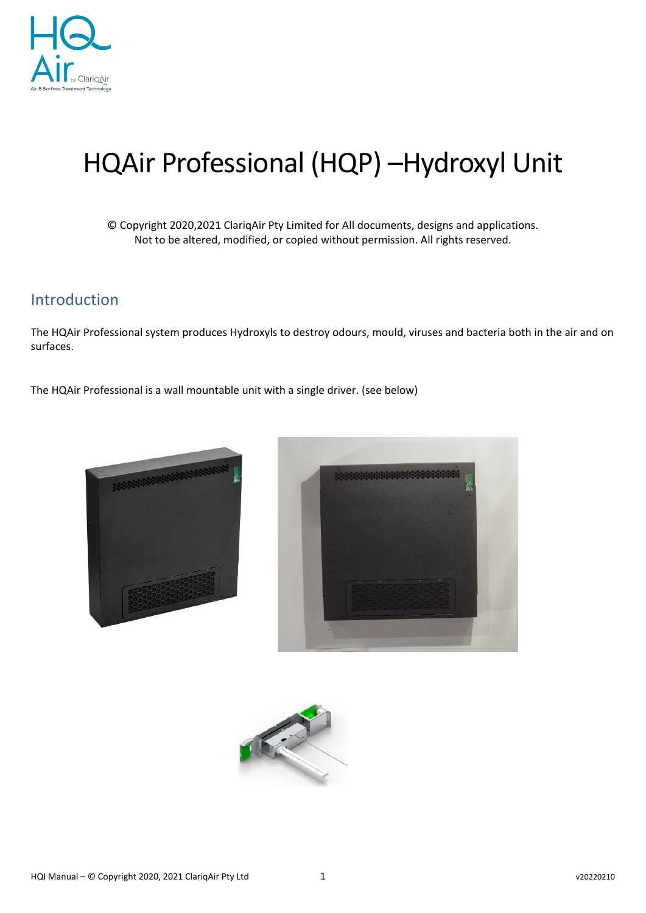

# HQAir Professional (HQP) –Hydroxyl Unit

© Copyright 2020,2021 ClariqAir Pty Limited for All documents, designs and applications. Not to be altered, modified, or copied without permission. All rights reserved.

## Introduction

The HQAir Professional system produces Hydroxyls to destroy odours, mould, viruses and bacteria both in the air and on surfaces.

The HQAir Professional is a wall mountable unit with a single driver. (see below)





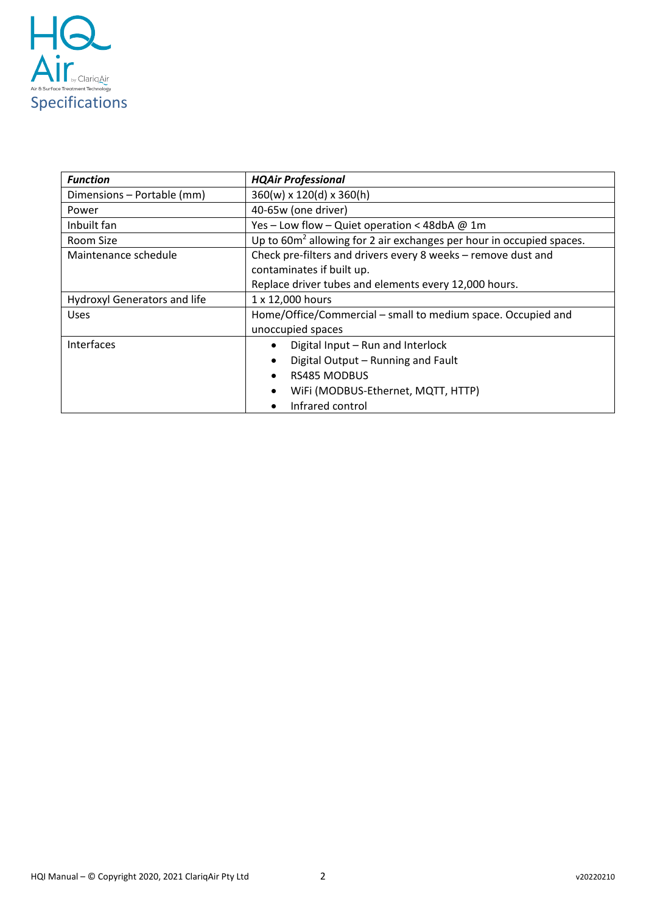

| <b>Function</b>              | <b>HQAir Professional</b>                                              |
|------------------------------|------------------------------------------------------------------------|
| Dimensions - Portable (mm)   | $360(w) \times 120(d) \times 360(h)$                                   |
| Power                        | 40-65w (one driver)                                                    |
| Inbuilt fan                  | Yes - Low flow - Quiet operation < 48dbA $@$ 1m                        |
| Room Size                    | Up to $60m2$ allowing for 2 air exchanges per hour in occupied spaces. |
| Maintenance schedule         | Check pre-filters and drivers every 8 weeks - remove dust and          |
|                              | contaminates if built up.                                              |
|                              | Replace driver tubes and elements every 12,000 hours.                  |
| Hydroxyl Generators and life | 1 x 12,000 hours                                                       |
| <b>Uses</b>                  | Home/Office/Commercial – small to medium space. Occupied and           |
|                              | unoccupied spaces                                                      |
| <b>Interfaces</b>            | Digital Input - Run and Interlock                                      |
|                              | Digital Output - Running and Fault                                     |
|                              | <b>RS485 MODBUS</b>                                                    |
|                              | WiFi (MODBUS-Ethernet, MQTT, HTTP)                                     |
|                              | Infrared control                                                       |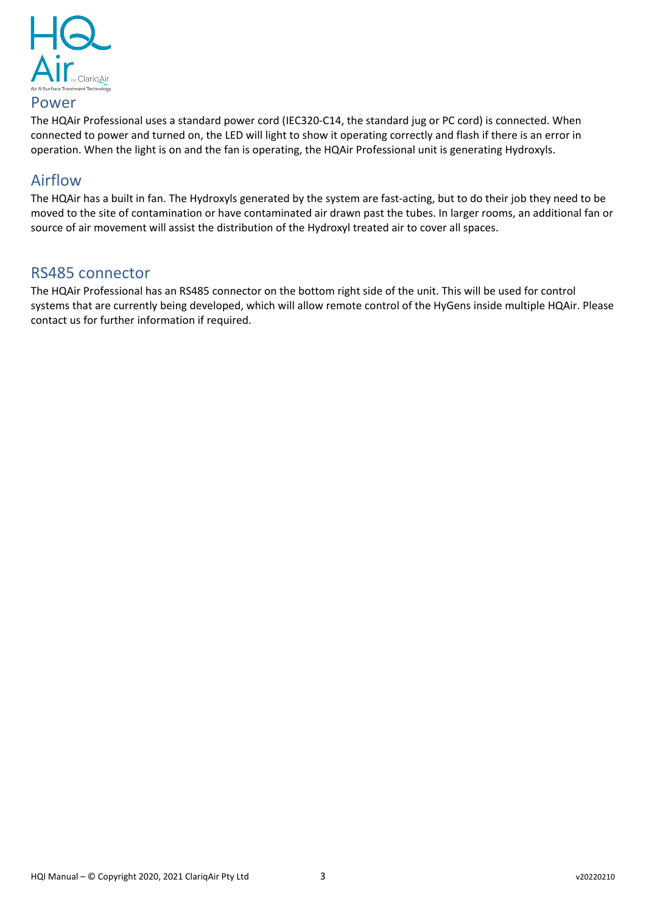

### Power

The HQAir Professional uses a standard power cord (IEC320-C14, the standard jug or PC cord) is connected. When connected to power and turned on, the LED will light to show it operating correctly and flash if there is an error in operation. When the light is on and the fan is operating, the HQAir Professional unit is generating Hydroxyls.

# Airflow

The HQAir has a built in fan. The Hydroxyls generated by the system are fast-acting, but to do their job they need to be moved to the site of contamination or have contaminated air drawn past the tubes. In larger rooms, an additional fan or source of air movement will assist the distribution of the Hydroxyl treated air to cover all spaces.

## RS485 connector

The HQAir Professional has an RS485 connector on the bottom right side of the unit. This will be used for control systems that are currently being developed, which will allow remote control of the HyGens inside multiple HQAir. Please contact us for further information if required.